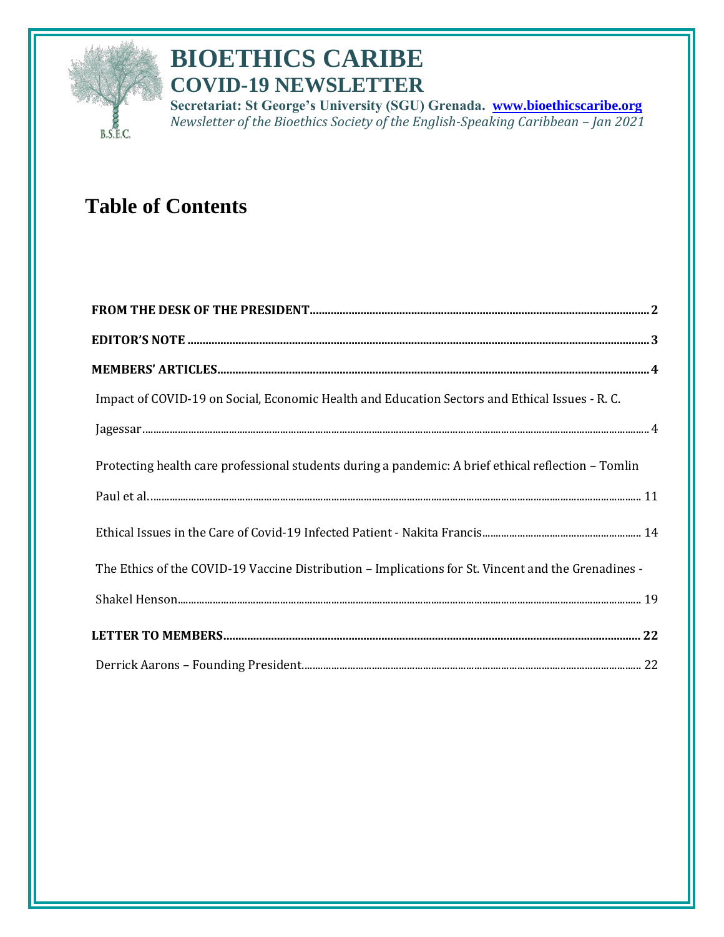

# **BIOETHICS CARIBE COVID-19 NEWSLETTER**

**Secretariat: St George's University (SGU) Grenada. [www.bioethicscaribe.org](http://www.bioethicscaribe.org/)** *Newsletter of the Bioethics Society of the English-Speaking Caribbean - Jan 2021* 

# **Table of Contents**

| Impact of COVID-19 on Social, Economic Health and Education Sectors and Ethical Issues - R. C.                                                                                                                                                                                                                                                                                                                                       |
|--------------------------------------------------------------------------------------------------------------------------------------------------------------------------------------------------------------------------------------------------------------------------------------------------------------------------------------------------------------------------------------------------------------------------------------|
| ${\bf Jagessar.}\label{thm:1} \noindent \textbf{Jagessar.}\label{thm:1} \vspace{1em} \vspace{1em} \vspace{1em} \vspace{1em} \vspace{1em} \vspace{1em} \vspace{1em} \vspace{1em} \vspace{1em} \vspace{1em} \vspace{1em} \vspace{1em} \vspace{1em} \vspace{1em} \vspace{1em} \vspace{1em} \vspace{1em} \vspace{1em} \vspace{1em} \vspace{1em} \vspace{1em} \vspace{1em} \vspace{1em} \vspace{1em} \vspace{1em} \vspace{1em} \vspace{1$ |
| Protecting health care professional students during a pandemic: A brief ethical reflection - Tomlin                                                                                                                                                                                                                                                                                                                                  |
|                                                                                                                                                                                                                                                                                                                                                                                                                                      |
|                                                                                                                                                                                                                                                                                                                                                                                                                                      |
| The Ethics of the COVID-19 Vaccine Distribution – Implications for St. Vincent and the Grenadines -                                                                                                                                                                                                                                                                                                                                  |
|                                                                                                                                                                                                                                                                                                                                                                                                                                      |
|                                                                                                                                                                                                                                                                                                                                                                                                                                      |
|                                                                                                                                                                                                                                                                                                                                                                                                                                      |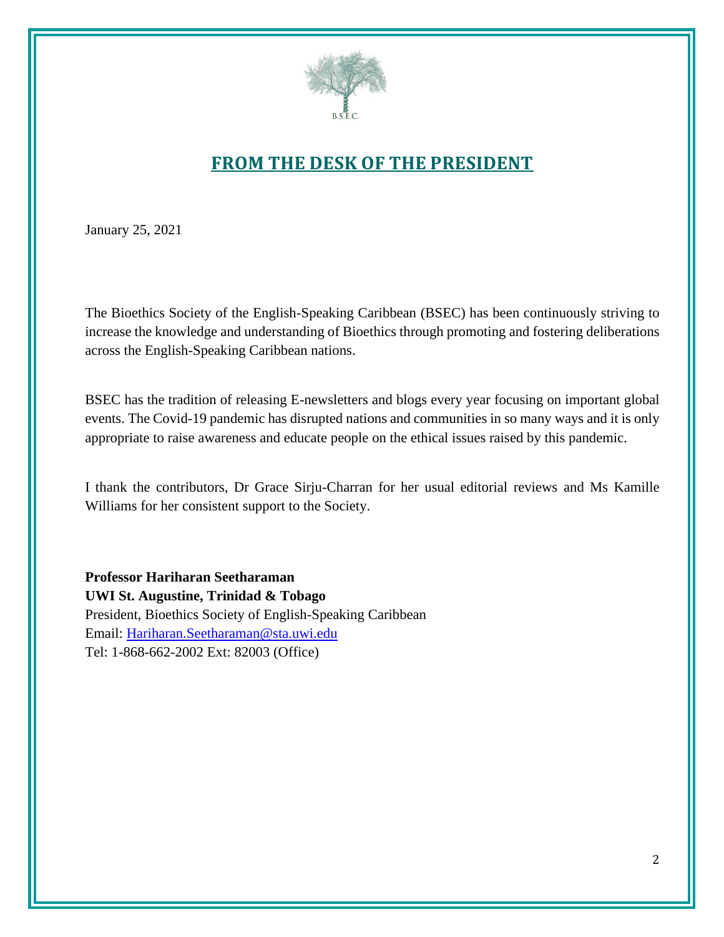

## **FROM THE DESK OF THE PRESIDENT**

<span id="page-1-0"></span>January 25, 2021

The Bioethics Society of the English-Speaking Caribbean (BSEC) has been continuously striving to increase the knowledge and understanding of Bioethics through promoting and fostering deliberations across the English-Speaking Caribbean nations.

BSEC has the tradition of releasing E-newsletters and blogs every year focusing on important global events. The Covid-19 pandemic has disrupted nations and communities in so many ways and it is only appropriate to raise awareness and educate people on the ethical issues raised by this pandemic.

I thank the contributors, Dr Grace Sirju-Charran for her usual editorial reviews and Ms Kamille Williams for her consistent support to the Society.

**Professor Hariharan Seetharaman UWI St. Augustine, Trinidad & Tobago** President, Bioethics Society of English-Speaking Caribbean Email: [Hariharan.Seetharaman@sta.uwi.edu](mailto:Hariharan.Seetharaman@sta.uwi.edu) Tel: 1-868-662-2002 Ext: 82003 (Office)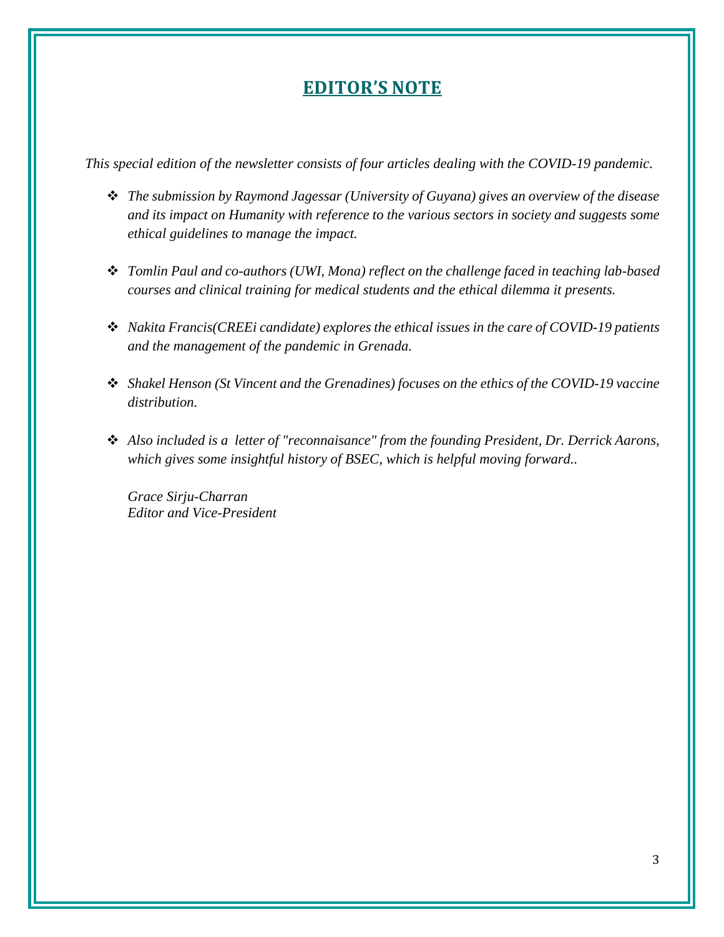## **EDITOR'S NOTE**

<span id="page-2-0"></span>*This special edition of the newsletter consists of four articles dealing with the COVID-19 pandemic.*

- ❖ *The submission by Raymond Jagessar (University of Guyana) gives an overview of the disease and its impact on Humanity with reference to the various sectors in society and suggests some ethical guidelines to manage the impact.*
- ❖ *Tomlin Paul and co-authors (UWI, Mona) reflect on the challenge faced in teaching lab-based courses and clinical training for medical students and the ethical dilemma it presents.*
- ❖ *Nakita Francis(CREEi candidate) explores the ethical issues in the care of COVID-19 patients and the management of the pandemic in Grenada.*
- ❖ *Shakel Henson (St Vincent and the Grenadines) focuses on the ethics of the COVID-19 vaccine distribution.*
- ❖ *Also included is a letter of "reconnaisance" from the founding President, Dr. Derrick Aarons, which gives some insightful history of BSEC, which is helpful moving forward..*

*Grace Sirju-Charran Editor and Vice-President*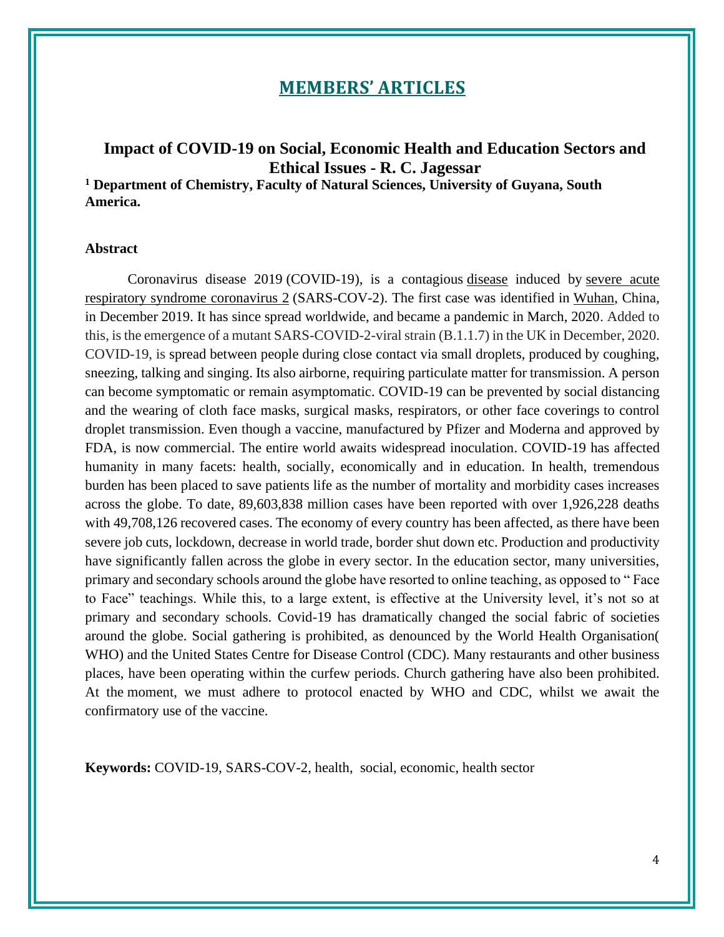## **MEMBERS' ARTICLES**

### <span id="page-3-1"></span><span id="page-3-0"></span>**Impact of COVID-19 on Social, Economic Health and Education Sectors and Ethical Issues - R. C. Jagessar**

**<sup>1</sup> Department of Chemistry, Faculty of Natural Sciences, University of Guyana, South America.**

#### **Abstract**

Coronavirus disease 2019 (COVID-19), is a contagious [disease](https://en.wikipedia.org/wiki/Disease) induced by [severe acute](https://en.wikipedia.org/wiki/Severe_acute_respiratory_syndrome_coronavirus_2)  [respiratory syndrome coronavirus 2](https://en.wikipedia.org/wiki/Severe_acute_respiratory_syndrome_coronavirus_2) (SARS-COV-2). The first case was identified in [Wuhan,](https://en.wikipedia.org/wiki/Wuhan) China, in December 2019. It has since spread worldwide, and became a pandemic in March, 2020. Added to this, is the emergence of a mutant SARS-COVID-2-viral strain (B.1.1.7) in the UK in December, 2020. COVID-19, is spread between people during close contact via small droplets, produced by coughing, sneezing, talking and singing. Its also airborne, requiring particulate matter for transmission. A person can become symptomatic or remain asymptomatic. COVID-19 can be prevented by social distancing and the wearing of cloth face masks, surgical masks, respirators, or other face coverings to control droplet transmission. Even though a vaccine, manufactured by Pfizer and Moderna and approved by FDA, is now commercial. The entire world awaits widespread inoculation. COVID-19 has affected humanity in many facets: health, socially, economically and in education. In health, tremendous burden has been placed to save patients life as the number of mortality and morbidity cases increases across the globe. To date, 89,603,838 million cases have been reported with over 1,926,228 deaths with 49,708,126 recovered cases. The economy of every country has been affected, as there have been severe job cuts, lockdown, decrease in world trade, border shut down etc. Production and productivity have significantly fallen across the globe in every sector. In the education sector, many universities, primary and secondary schools around the globe have resorted to online teaching, as opposed to " Face to Face" teachings. While this, to a large extent, is effective at the University level, it's not so at primary and secondary schools. Covid-19 has dramatically changed the social fabric of societies around the globe. Social gathering is prohibited, as denounced by the World Health Organisation( WHO) and the United States Centre for Disease Control (CDC). Many restaurants and other business places, have been operating within the curfew periods. Church gathering have also been prohibited. At the moment, we must adhere to protocol enacted by WHO and CDC, whilst we await the confirmatory use of the vaccine.

**Keywords:** COVID-19, SARS-COV-2, health, social, economic, health sector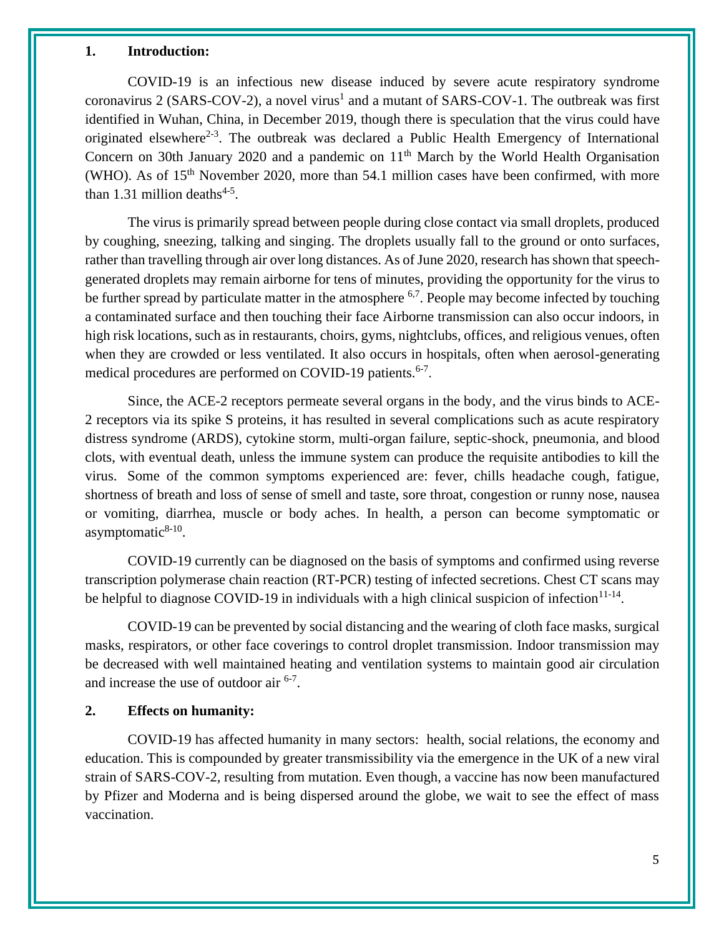#### **1. Introduction:**

COVID-19 is an infectious new disease induced by severe acute respiratory syndrome coronavirus 2 (SARS-COV-2), a novel virus<sup>1</sup> and a mutant of SARS-COV-1. The outbreak was first identified in Wuhan, China, in December 2019, though there is speculation that the virus could have originated elsewhere<sup>2-3</sup>. The outbreak was declared a Public Health Emergency of International Concern on 30th January 2020 and a pandemic on  $11<sup>th</sup>$  March by the World Health Organisation (WHO). As of  $15<sup>th</sup>$  November 2020, more than 54.1 million cases have been confirmed, with more than 1.31 million deaths<sup>4-5</sup>.

The virus is primarily spread between people during close contact via small droplets, produced by coughing, sneezing, talking and singing. The droplets usually fall to the ground or onto surfaces, rather than travelling through air over long distances. As of June 2020, research has shown that speechgenerated droplets may remain airborne for tens of minutes, providing the opportunity for the virus to be further spread by particulate matter in the atmosphere  $6.7$ . People may become infected by touching a contaminated surface and then touching their face Airborne transmission can also occur indoors, in high risk locations, such as in restaurants, choirs, gyms, nightclubs, offices, and religious venues, often when they are crowded or less ventilated. It also occurs in hospitals, often when aerosol-generating medical procedures are performed on COVID-19 patients.<sup>6-7</sup>.

Since, the ACE-2 receptors permeate several organs in the body, and the virus binds to ACE-2 receptors via its spike S proteins, it has resulted in several complications such as acute respiratory distress syndrome (ARDS), cytokine storm, multi-organ failure, septic-shock, pneumonia, and blood clots, with eventual death, unless the immune system can produce the requisite antibodies to kill the virus. Some of the common symptoms experienced are: fever, chills headache cough, fatigue, shortness of breath and loss of sense of smell and taste, sore throat, congestion or runny nose, nausea or vomiting, diarrhea, muscle or body aches. In health, a person can become symptomatic or asymptomatic $8-10$ .

COVID-19 currently can be diagnosed on the basis of symptoms and confirmed using reverse transcription polymerase chain reaction (RT-PCR) testing of infected secretions. Chest CT scans may be helpful to diagnose COVID-19 in individuals with a high clinical suspicion of infection $11-14$ .

COVID-19 can be prevented by social distancing and the wearing of cloth face masks, surgical masks, respirators, or other face coverings to control droplet transmission. Indoor transmission may be decreased with well maintained heating and ventilation systems to maintain good air circulation and increase the use of outdoor air  $6-7$ .

#### **2. Effects on humanity:**

COVID-19 has affected humanity in many sectors: health, social relations, the economy and education. This is compounded by greater transmissibility via the emergence in the UK of a new viral strain of SARS-COV-2, resulting from mutation. Even though, a vaccine has now been manufactured by Pfizer and Moderna and is being dispersed around the globe, we wait to see the effect of mass vaccination.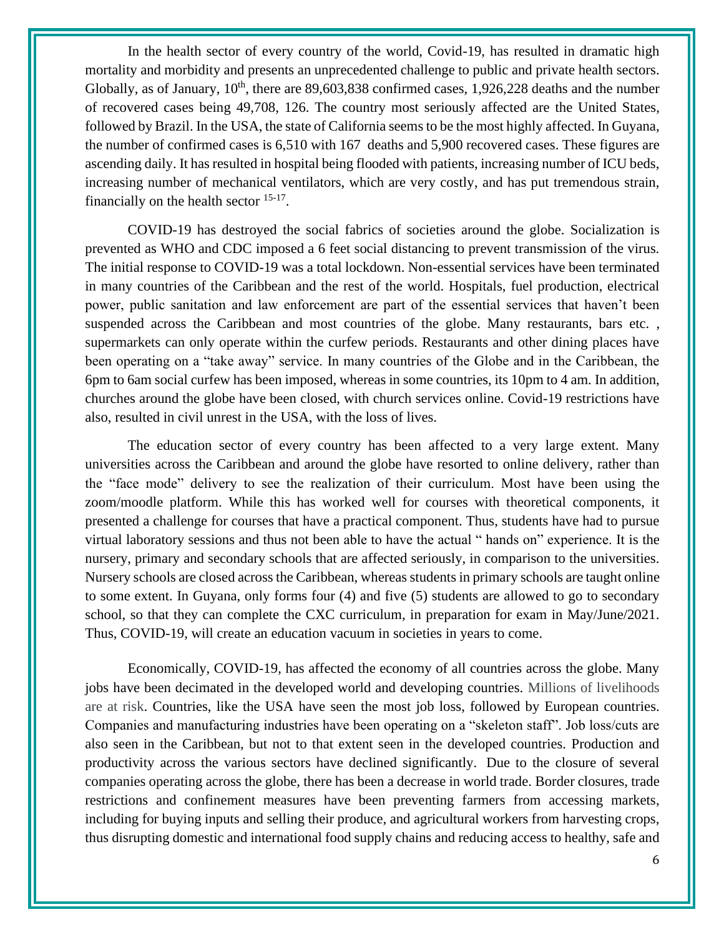In the health sector of every country of the world, Covid-19, has resulted in dramatic high mortality and morbidity and presents an unprecedented challenge to public and private health sectors. Globally, as of January,  $10^{th}$ , there are 89,603,838 confirmed cases, 1,926,228 deaths and the number of recovered cases being 49,708, 126. The country most seriously affected are the United States, followed by Brazil. In the USA, the state of California seems to be the most highly affected. In Guyana, the number of confirmed cases is 6,510 with 167 deaths and 5,900 recovered cases. These figures are ascending daily. It has resulted in hospital being flooded with patients, increasing number of ICU beds, increasing number of mechanical ventilators, which are very costly, and has put tremendous strain, financially on the health sector  $15-17$ .

COVID-19 has destroyed the social fabrics of societies around the globe. Socialization is prevented as WHO and CDC imposed a 6 feet social distancing to prevent transmission of the virus. The initial response to COVID-19 was a total lockdown. Non-essential services have been terminated in many countries of the Caribbean and the rest of the world. Hospitals, fuel production, electrical power, public sanitation and law enforcement are part of the essential services that haven't been suspended across the Caribbean and most countries of the globe. Many restaurants, bars etc. , supermarkets can only operate within the curfew periods. Restaurants and other dining places have been operating on a "take away" service. In many countries of the Globe and in the Caribbean, the 6pm to 6am social curfew has been imposed, whereas in some countries, its 10pm to 4 am. In addition, churches around the globe have been closed, with church services online. Covid-19 restrictions have also, resulted in civil unrest in the USA, with the loss of lives.

The education sector of every country has been affected to a very large extent. Many universities across the Caribbean and around the globe have resorted to online delivery, rather than the "face mode" delivery to see the realization of their curriculum. Most have been using the zoom/moodle platform. While this has worked well for courses with theoretical components, it presented a challenge for courses that have a practical component. Thus, students have had to pursue virtual laboratory sessions and thus not been able to have the actual " hands on" experience. It is the nursery, primary and secondary schools that are affected seriously, in comparison to the universities. Nursery schools are closed across the Caribbean, whereas students in primary schools are taught online to some extent. In Guyana, only forms four (4) and five (5) students are allowed to go to secondary school, so that they can complete the CXC curriculum, in preparation for exam in May/June/2021. Thus, COVID-19, will create an education vacuum in societies in years to come.

Economically, COVID-19, has affected the economy of all countries across the globe. Many jobs have been decimated in the developed world and developing countries. Millions of livelihoods are at risk. Countries, like the USA have seen the most job loss, followed by European countries. Companies and manufacturing industries have been operating on a "skeleton staff". Job loss/cuts are also seen in the Caribbean, but not to that extent seen in the developed countries. Production and productivity across the various sectors have declined significantly. Due to the closure of several companies operating across the globe, there has been a decrease in world trade. Border closures, trade restrictions and confinement measures have been preventing farmers from accessing markets, including for buying inputs and selling their produce, and agricultural workers from harvesting crops, thus disrupting domestic and international food supply chains and reducing access to healthy, safe and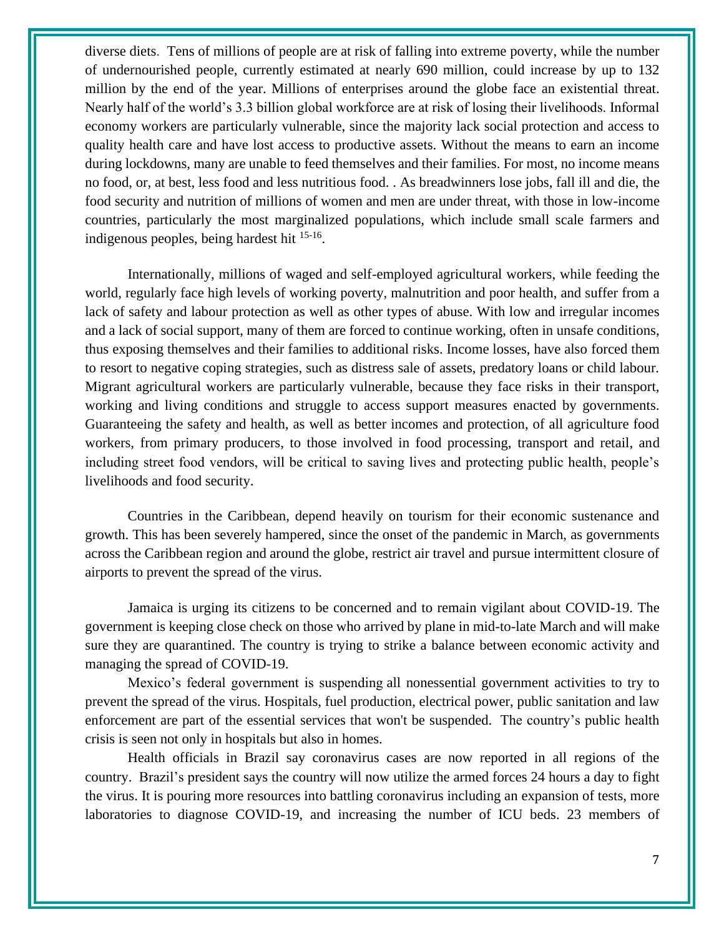diverse diets. Tens of millions of people are at risk of falling into extreme poverty, while the number of undernourished people, currently estimated at nearly 690 million, could increase by up to 132 million by the end of the year. Millions of enterprises around the globe face an existential threat. Nearly half of the world's 3.3 billion global workforce are at risk of losing their livelihoods. Informal economy workers are particularly vulnerable, since the majority lack social protection and access to quality health care and have lost access to productive assets. Without the means to earn an income during lockdowns, many are unable to feed themselves and their families. For most, no income means no food, or, at best, less food and less nutritious food. . As breadwinners lose jobs, fall ill and die, the food security and nutrition of millions of women and men are under threat, with those in low-income countries, particularly the most marginalized populations, which include small scale farmers and indigenous peoples, being hardest hit <sup>15-16</sup>.

Internationally, millions of waged and self-employed agricultural workers, while feeding the world, regularly face high levels of working poverty, malnutrition and poor health, and suffer from a lack of safety and labour protection as well as other types of abuse. With low and irregular incomes and a lack of social support, many of them are forced to continue working, often in unsafe conditions, thus exposing themselves and their families to additional risks. Income losses, have also forced them to resort to negative coping strategies, such as distress sale of assets, predatory loans or child labour. Migrant agricultural workers are particularly vulnerable, because they face risks in their transport, working and living conditions and struggle to access support measures enacted by governments. Guaranteeing the safety and health, as well as better incomes and protection, of all agriculture food workers, from primary producers, to those involved in food processing, transport and retail, and including street food vendors, will be critical to saving lives and protecting public health, people's livelihoods and food security.

Countries in the Caribbean, depend heavily on tourism for their economic sustenance and growth. This has been severely hampered, since the onset of the pandemic in March, as governments across the Caribbean region and around the globe, restrict air travel and pursue intermittent closure of airports to prevent the spread of the virus.

Jamaica is urging its citizens to be concerned and to remain vigilant about COVID-19. The government is keeping close check on those who arrived by plane in mid-to-late March and will make sure they are quarantined. The country is trying to strike a balance between economic activity and managing the spread of COVID-19.

Mexico's federal government is suspending all nonessential government activities to try to prevent the spread of the virus. Hospitals, fuel production, electrical power, public sanitation and law enforcement are part of the essential services that won't be suspended. The country's public health crisis is seen not only in hospitals but also in homes.

Health officials in Brazil say coronavirus cases are now reported in all regions of the country. Brazil's president says the country will now utilize the armed forces 24 hours a day to fight the virus. It is pouring more resources into battling coronavirus including an expansion of tests, more laboratories to diagnose COVID-19, and increasing the number of ICU beds. 23 members of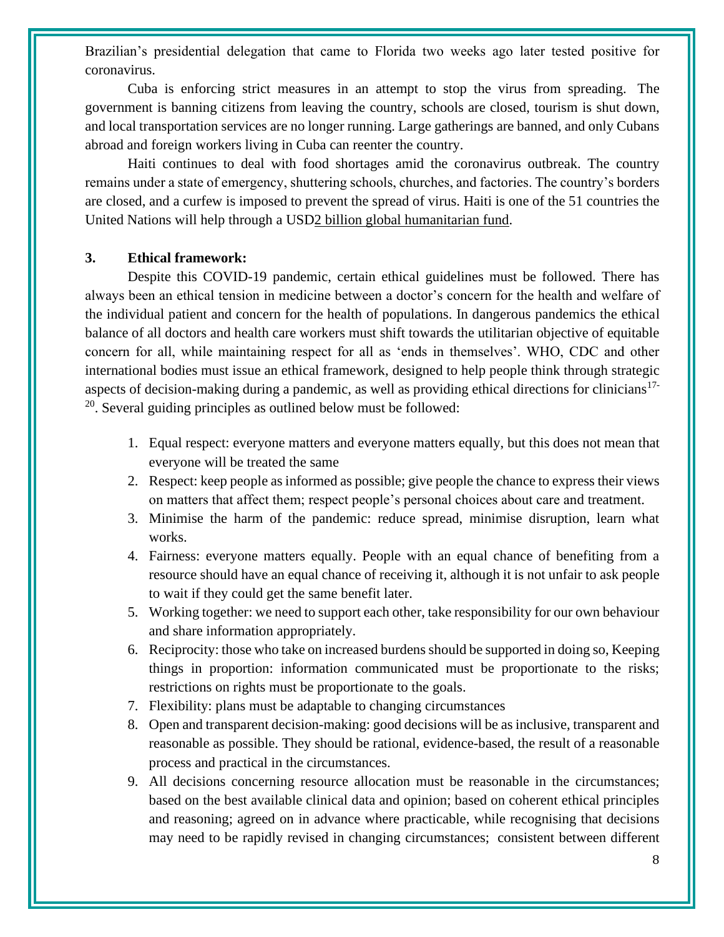Brazilian's presidential delegation that came to Florida two weeks ago later tested positive for coronavirus.

Cuba is enforcing strict measures in an attempt to stop the virus from spreading. The government is banning citizens from leaving the country, schools are closed, tourism is shut down, and local transportation services are no longer running. Large gatherings are banned, and only Cubans abroad and foreign workers living in Cuba can reenter the country.

Haiti continues to deal with food shortages amid the coronavirus outbreak. The country remains under a state of emergency, shuttering schools, churches, and factories. The country's borders are closed, and a curfew is imposed to prevent the spread of virus. Haiti is one of the 51 countries the United Nations will help through a US[D2 billion global humanitarian fund.](https://www.unocha.org/sites/unocha/files/Global-Humanitarian-Response-Plan-COVID-19.pdf)

#### **3. Ethical framework:**

Despite this COVID-19 pandemic, certain ethical guidelines must be followed. There has always been an ethical tension in medicine between a doctor's concern for the health and welfare of the individual patient and concern for the health of populations. In dangerous pandemics the ethical balance of all doctors and health care workers must shift towards the utilitarian objective of equitable concern for all, while maintaining respect for all as 'ends in themselves'. WHO, CDC and other international bodies must issue an ethical framework, designed to help people think through strategic aspects of decision-making during a pandemic, as well as providing ethical directions for clinicians<sup>17-</sup> <sup>20</sup>. Several guiding principles as outlined below must be followed:

- 1. Equal respect: everyone matters and everyone matters equally, but this does not mean that everyone will be treated the same
- 2. Respect: keep people as informed as possible; give people the chance to express their views on matters that affect them; respect people's personal choices about care and treatment.
- 3. Minimise the harm of the pandemic: reduce spread, minimise disruption, learn what works.
- 4. Fairness: everyone matters equally. People with an equal chance of benefiting from a resource should have an equal chance of receiving it, although it is not unfair to ask people to wait if they could get the same benefit later.
- 5. Working together: we need to support each other, take responsibility for our own behaviour and share information appropriately.
- 6. Reciprocity: those who take on increased burdens should be supported in doing so, Keeping things in proportion: information communicated must be proportionate to the risks; restrictions on rights must be proportionate to the goals.
- 7. Flexibility: plans must be adaptable to changing circumstances
- 8. Open and transparent decision-making: good decisions will be as inclusive, transparent and reasonable as possible. They should be rational, evidence-based, the result of a reasonable process and practical in the circumstances.
- 9. All decisions concerning resource allocation must be reasonable in the circumstances; based on the best available clinical data and opinion; based on coherent ethical principles and reasoning; agreed on in advance where practicable, while recognising that decisions may need to be rapidly revised in changing circumstances; consistent between different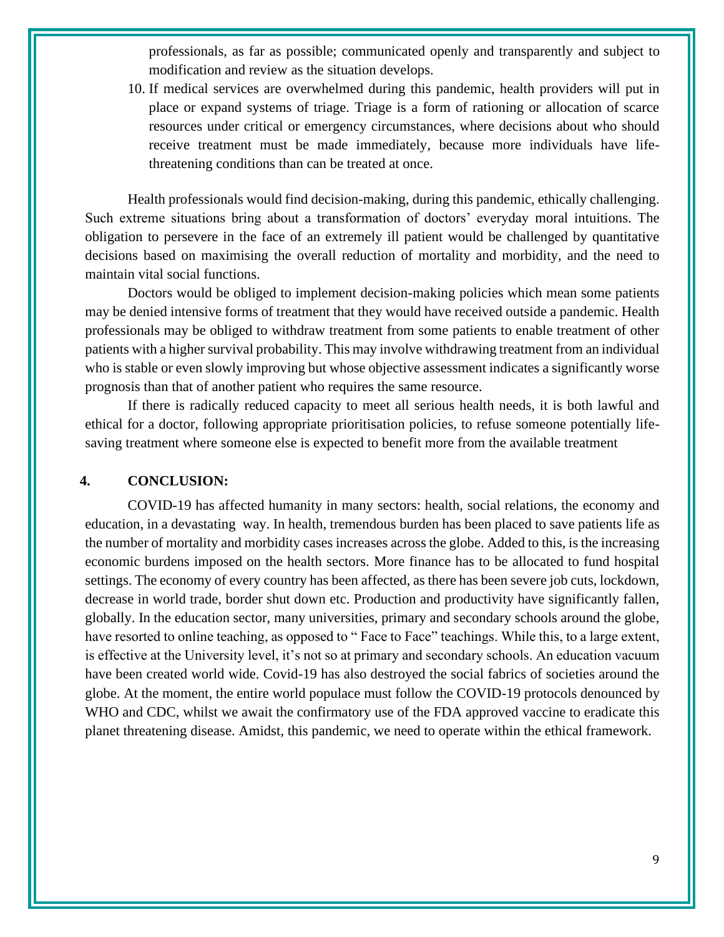professionals, as far as possible; communicated openly and transparently and subject to modification and review as the situation develops.

10. If medical services are overwhelmed during this pandemic, health providers will put in place or expand systems of triage. Triage is a form of rationing or allocation of scarce resources under critical or emergency circumstances, where decisions about who should receive treatment must be made immediately, because more individuals have lifethreatening conditions than can be treated at once.

Health professionals would find decision-making, during this pandemic, ethically challenging. Such extreme situations bring about a transformation of doctors' everyday moral intuitions. The obligation to persevere in the face of an extremely ill patient would be challenged by quantitative decisions based on maximising the overall reduction of mortality and morbidity, and the need to maintain vital social functions.

Doctors would be obliged to implement decision-making policies which mean some patients may be denied intensive forms of treatment that they would have received outside a pandemic. Health professionals may be obliged to withdraw treatment from some patients to enable treatment of other patients with a higher survival probability. This may involve withdrawing treatment from an individual who is stable or even slowly improving but whose objective assessment indicates a significantly worse prognosis than that of another patient who requires the same resource.

If there is radically reduced capacity to meet all serious health needs, it is both lawful and ethical for a doctor, following appropriate prioritisation policies, to refuse someone potentially lifesaving treatment where someone else is expected to benefit more from the available treatment

#### **4. CONCLUSION:**

COVID-19 has affected humanity in many sectors: health, social relations, the economy and education, in a devastating way. In health, tremendous burden has been placed to save patients life as the number of mortality and morbidity cases increases across the globe. Added to this, is the increasing economic burdens imposed on the health sectors. More finance has to be allocated to fund hospital settings. The economy of every country has been affected, as there has been severe job cuts, lockdown, decrease in world trade, border shut down etc. Production and productivity have significantly fallen, globally. In the education sector, many universities, primary and secondary schools around the globe, have resorted to online teaching, as opposed to "Face to Face" teachings. While this, to a large extent, is effective at the University level, it's not so at primary and secondary schools. An education vacuum have been created world wide. Covid-19 has also destroyed the social fabrics of societies around the globe. At the moment, the entire world populace must follow the COVID-19 protocols denounced by WHO and CDC, whilst we await the confirmatory use of the FDA approved vaccine to eradicate this planet threatening disease. Amidst, this pandemic, we need to operate within the ethical framework.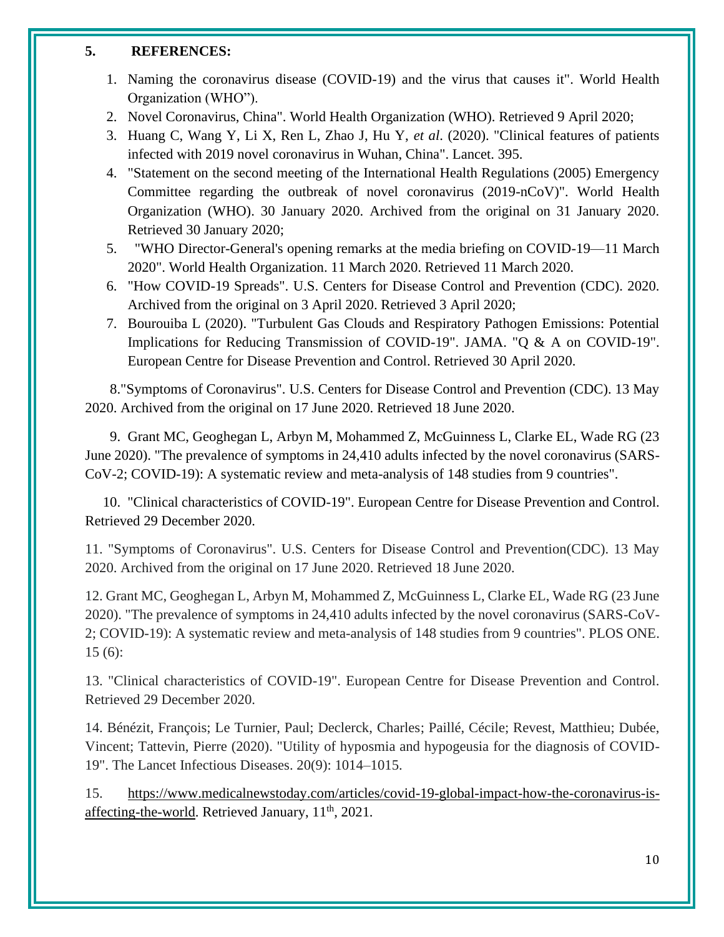#### **5. REFERENCES:**

- 1. Naming the coronavirus disease (COVID-19) and the virus that causes it". World Health Organization (WHO").
- 2. Novel Coronavirus, China". World Health Organization (WHO). Retrieved 9 April 2020;
- 3. Huang C, Wang Y, Li X, Ren L, Zhao J, Hu Y, *et al*. (2020). "Clinical features of patients infected with 2019 novel coronavirus in Wuhan, China". Lancet. 395.
- 4. "Statement on the second meeting of the International Health Regulations (2005) Emergency Committee regarding the outbreak of novel coronavirus (2019-nCoV)". World Health Organization (WHO). 30 January 2020. Archived from the original on 31 January 2020. Retrieved 30 January 2020;
- 5. "WHO Director-General's opening remarks at the media briefing on COVID-19—11 March 2020". World Health Organization. 11 March 2020. Retrieved 11 March 2020.
- 6. "How COVID-19 Spreads". U.S. Centers for Disease Control and Prevention (CDC). 2020. Archived from the original on 3 April 2020. Retrieved 3 April 2020;
- 7. Bourouiba L (2020). "Turbulent Gas Clouds and Respiratory Pathogen Emissions: Potential Implications for Reducing Transmission of COVID-19". JAMA. "Q & A on COVID-19". European Centre for Disease Prevention and Control. Retrieved 30 April 2020.

 8."Symptoms of Coronavirus". U.S. Centers for Disease Control and Prevention (CDC). 13 May 2020. Archived from the original on 17 June 2020. Retrieved 18 June 2020.

 9. Grant MC, Geoghegan L, Arbyn M, Mohammed Z, McGuinness L, Clarke EL, Wade RG (23 June 2020). "The prevalence of symptoms in 24,410 adults infected by the novel coronavirus (SARS-CoV-2; COVID-19): A systematic review and meta-analysis of 148 studies from 9 countries".

 10. "Clinical characteristics of COVID-19". European Centre for Disease Prevention and Control. Retrieved 29 December 2020.

11. "Symptoms of Coronavirus". U.S. Centers for Disease Control and Prevention(CDC). 13 May 2020. Archived from the original on 17 June 2020. Retrieved 18 June 2020.

12. Grant MC, Geoghegan L, Arbyn M, Mohammed Z, McGuinness L, Clarke EL, Wade RG (23 June 2020). "The prevalence of symptoms in 24,410 adults infected by the novel coronavirus (SARS-CoV-2; COVID-19): A systematic review and meta-analysis of 148 studies from 9 countries". PLOS ONE. 15 (6):

13. "Clinical characteristics of COVID-19". European Centre for Disease Prevention and Control. Retrieved 29 December 2020.

14. Bénézit, François; Le Turnier, Paul; Declerck, Charles; Paillé, Cécile; Revest, Matthieu; Dubée, Vincent; Tattevin, Pierre (2020). "Utility of hyposmia and hypogeusia for the diagnosis of COVID-19". The Lancet Infectious Diseases. 20(9): 1014–1015.

15. [https://www.medicalnewstoday.com/articles/covid-19-global-impact-how-the-coronavirus-is](https://www.medicalnewstoday.com/articles/covid-19-global-impact-how-the-coronavirus-is-affecting-the-world)[affecting-the-world.](https://www.medicalnewstoday.com/articles/covid-19-global-impact-how-the-coronavirus-is-affecting-the-world) Retrieved January,  $11<sup>th</sup>$ , 2021.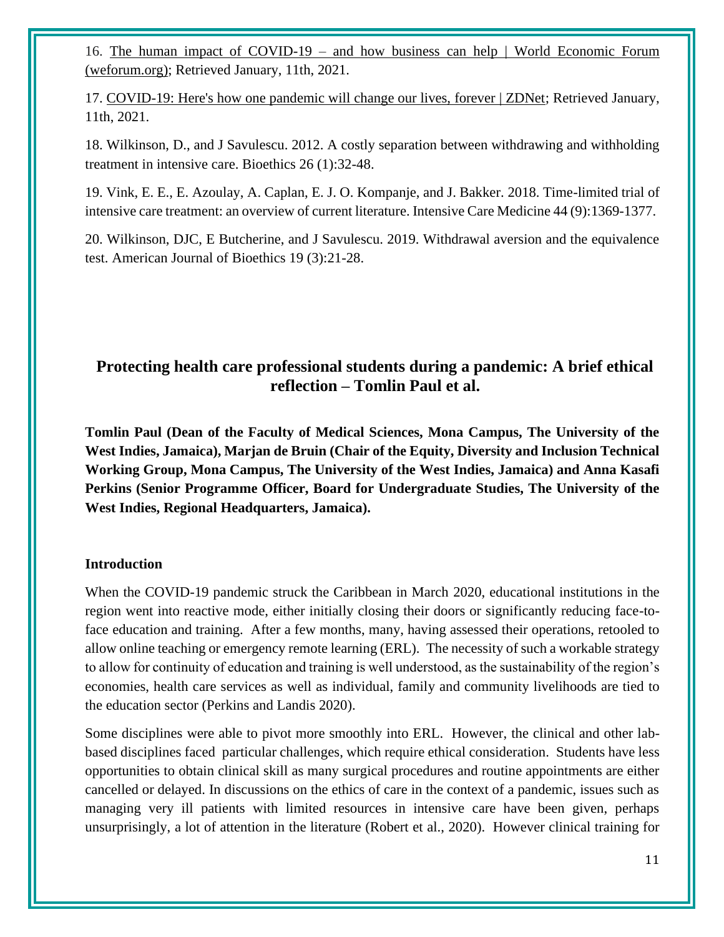16. The human impact of COVID-19 – [and how business can help | World Economic Forum](https://www.weforum.org/agenda/2020/03/this-is-the-human-impact-of-covid-19-and-how-business-can-help/)  [\(weforum.org\);](https://www.weforum.org/agenda/2020/03/this-is-the-human-impact-of-covid-19-and-how-business-can-help/) Retrieved January, 11th, 2021.

17. [COVID-19: Here's how one pandemic will change our lives, forever | ZDNet;](https://www.zdnet.com/article/covid-19-how-one-pandemic-will-change-our-lives-forever/) Retrieved January, 11th, 2021.

18. Wilkinson, D., and J Savulescu. 2012. A costly separation between withdrawing and withholding treatment in intensive care. Bioethics 26 (1):32-48.

19. Vink, E. E., E. Azoulay, A. Caplan, E. J. O. Kompanje, and J. Bakker. 2018. Time-limited trial of intensive care treatment: an overview of current literature. Intensive Care Medicine 44 (9):1369-1377.

20. Wilkinson, DJC, E Butcherine, and J Savulescu. 2019. Withdrawal aversion and the equivalence test. American Journal of Bioethics 19 (3):21-28.

## <span id="page-10-0"></span>**Protecting health care professional students during a pandemic: A brief ethical reflection – Tomlin Paul et al.**

**Tomlin Paul (Dean of the Faculty of Medical Sciences, Mona Campus, The University of the West Indies, Jamaica), Marjan de Bruin (Chair of the Equity, Diversity and Inclusion Technical Working Group, Mona Campus, The University of the West Indies, Jamaica) and Anna Kasafi Perkins (Senior Programme Officer, Board for Undergraduate Studies, The University of the West Indies, Regional Headquarters, Jamaica).**

#### **Introduction**

When the COVID-19 pandemic struck the Caribbean in March 2020, educational institutions in the region went into reactive mode, either initially closing their doors or significantly reducing face-toface education and training. After a few months, many, having assessed their operations, retooled to allow online teaching or emergency remote learning (ERL). The necessity of such a workable strategy to allow for continuity of education and training is well understood, as the sustainability of the region's economies, health care services as well as individual, family and community livelihoods are tied to the education sector (Perkins and Landis 2020).

Some disciplines were able to pivot more smoothly into ERL. However, the clinical and other labbased disciplines faced particular challenges, which require ethical consideration. Students have less opportunities to obtain clinical skill as many surgical procedures and routine appointments are either cancelled or delayed. In discussions on the ethics of care in the context of a pandemic, issues such as managing very ill patients with limited resources in intensive care have been given, perhaps unsurprisingly, a lot of attention in the literature (Robert et al., 2020). However clinical training for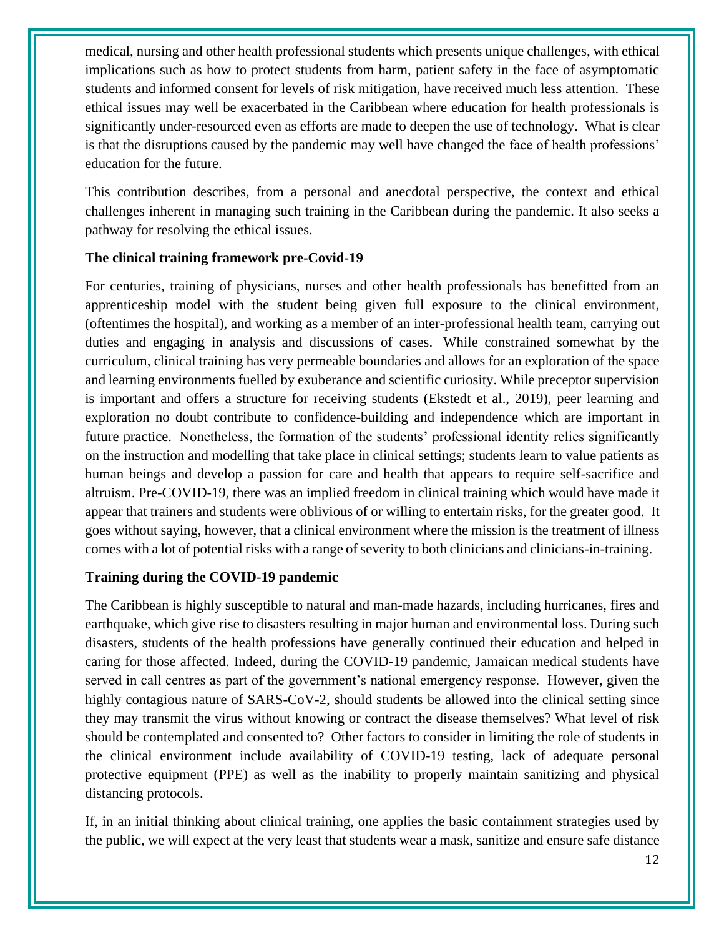medical, nursing and other health professional students which presents unique challenges, with ethical implications such as how to protect students from harm, patient safety in the face of asymptomatic students and informed consent for levels of risk mitigation, have received much less attention. These ethical issues may well be exacerbated in the Caribbean where education for health professionals is significantly under-resourced even as efforts are made to deepen the use of technology. What is clear is that the disruptions caused by the pandemic may well have changed the face of health professions' education for the future.

This contribution describes, from a personal and anecdotal perspective, the context and ethical challenges inherent in managing such training in the Caribbean during the pandemic. It also seeks a pathway for resolving the ethical issues.

#### **The clinical training framework pre-Covid-19**

For centuries, training of physicians, nurses and other health professionals has benefitted from an apprenticeship model with the student being given full exposure to the clinical environment, (oftentimes the hospital), and working as a member of an inter-professional health team, carrying out duties and engaging in analysis and discussions of cases. While constrained somewhat by the curriculum, clinical training has very permeable boundaries and allows for an exploration of the space and learning environments fuelled by exuberance and scientific curiosity. While preceptor supervision is important and offers a structure for receiving students (Ekstedt et al., 2019), peer learning and exploration no doubt contribute to confidence-building and independence which are important in future practice. Nonetheless, the formation of the students' professional identity relies significantly on the instruction and modelling that take place in clinical settings; students learn to value patients as human beings and develop a passion for care and health that appears to require self-sacrifice and altruism. Pre-COVID-19, there was an implied freedom in clinical training which would have made it appear that trainers and students were oblivious of or willing to entertain risks, for the greater good. It goes without saying, however, that a clinical environment where the mission is the treatment of illness comes with a lot of potential risks with a range of severity to both clinicians and clinicians-in-training.

#### **Training during the COVID-19 pandemic**

The Caribbean is highly susceptible to natural and man-made hazards, including hurricanes, fires and earthquake, which give rise to disasters resulting in major human and environmental loss. During such disasters, students of the health professions have generally continued their education and helped in caring for those affected. Indeed, during the COVID-19 pandemic, Jamaican medical students have served in call centres as part of the government's national emergency response. However, given the highly contagious nature of SARS-CoV-2, should students be allowed into the clinical setting since they may transmit the virus without knowing or contract the disease themselves? What level of risk should be contemplated and consented to? Other factors to consider in limiting the role of students in the clinical environment include availability of COVID-19 testing, lack of adequate personal protective equipment (PPE) as well as the inability to properly maintain sanitizing and physical distancing protocols.

If, in an initial thinking about clinical training, one applies the basic containment strategies used by the public, we will expect at the very least that students wear a mask, sanitize and ensure safe distance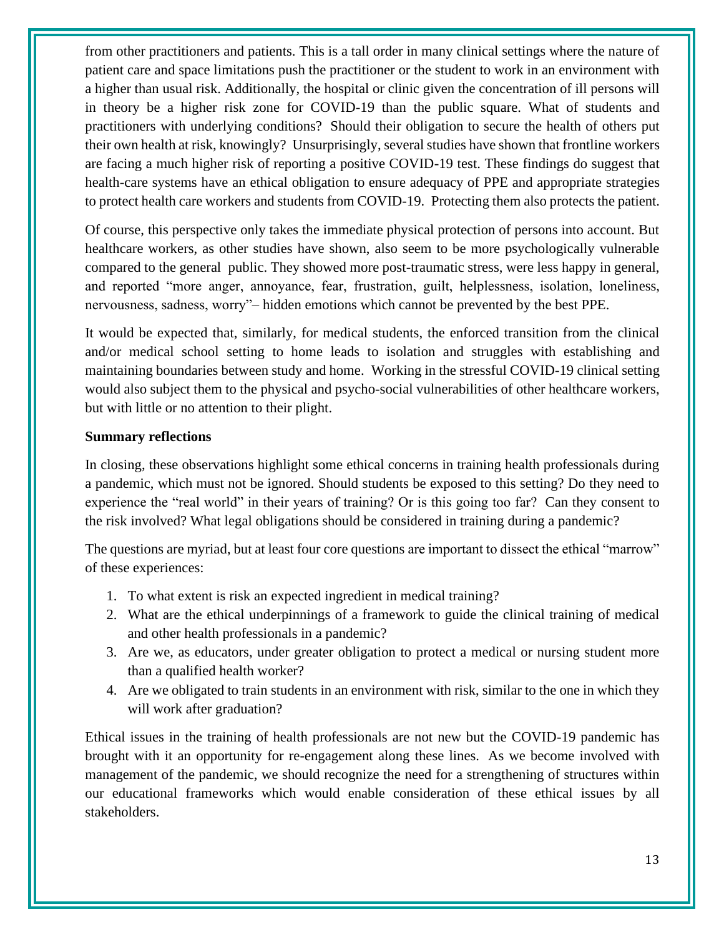from other practitioners and patients. This is a tall order in many clinical settings where the nature of patient care and space limitations push the practitioner or the student to work in an environment with a higher than usual risk. Additionally, the hospital or clinic given the concentration of ill persons will in theory be a higher risk zone for COVID-19 than the public square. What of students and practitioners with underlying conditions? Should their obligation to secure the health of others put their own health at risk, knowingly? Unsurprisingly, several studies have shown that frontline workers are facing a much higher risk of reporting a positive COVID-19 test. These findings do suggest that health-care systems have an ethical obligation to ensure adequacy of PPE and appropriate strategies to protect health care workers and students from COVID-19. Protecting them also protects the patient.

Of course, this perspective only takes the immediate physical protection of persons into account. But healthcare workers, as other studies have shown, also seem to be more psychologically vulnerable compared to the general public. They showed more post-traumatic stress, were less happy in general, and reported "more anger, annoyance, fear, frustration, guilt, helplessness, isolation, loneliness, nervousness, sadness, worry"– hidden emotions which cannot be prevented by the best PPE.

It would be expected that, similarly, for medical students, the enforced transition from the clinical and/or medical school setting to home leads to isolation and struggles with establishing and maintaining boundaries between study and home. Working in the stressful COVID-19 clinical setting would also subject them to the physical and psycho-social vulnerabilities of other healthcare workers, but with little or no attention to their plight.

#### **Summary reflections**

In closing, these observations highlight some ethical concerns in training health professionals during a pandemic, which must not be ignored. Should students be exposed to this setting? Do they need to experience the "real world" in their years of training? Or is this going too far? Can they consent to the risk involved? What legal obligations should be considered in training during a pandemic?

The questions are myriad, but at least four core questions are important to dissect the ethical "marrow" of these experiences:

- 1. To what extent is risk an expected ingredient in medical training?
- 2. What are the ethical underpinnings of a framework to guide the clinical training of medical and other health professionals in a pandemic?
- 3. Are we, as educators, under greater obligation to protect a medical or nursing student more than a qualified health worker?
- 4. Are we obligated to train students in an environment with risk, similar to the one in which they will work after graduation?

Ethical issues in the training of health professionals are not new but the COVID-19 pandemic has brought with it an opportunity for re-engagement along these lines. As we become involved with management of the pandemic, we should recognize the need for a strengthening of structures within our educational frameworks which would enable consideration of these ethical issues by all stakeholders.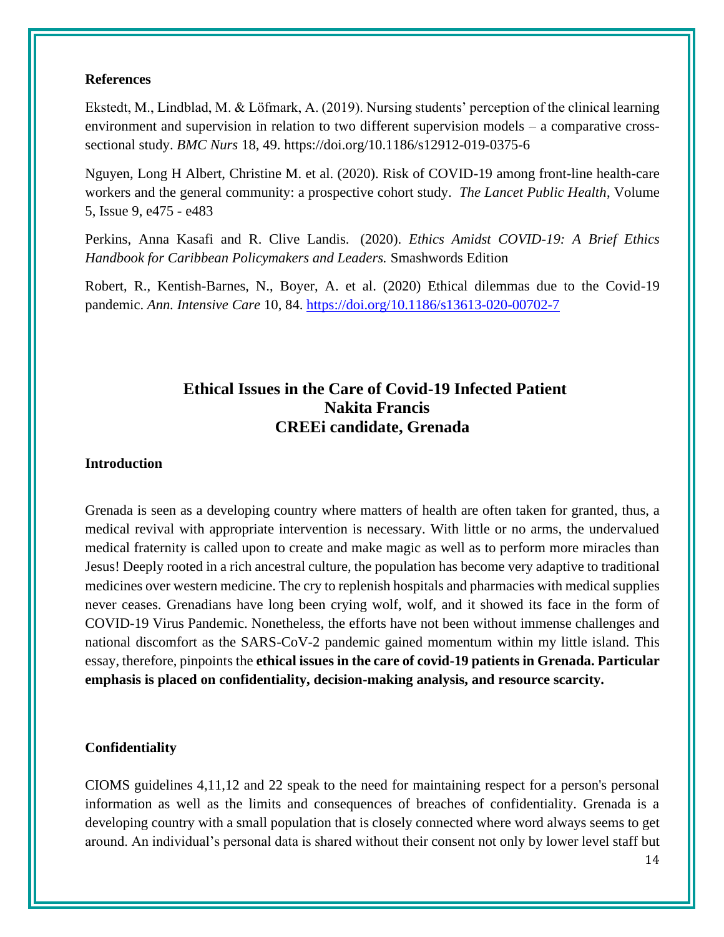#### **References**

Ekstedt, M., Lindblad, M. & Löfmark, A. (2019). Nursing students' perception of the clinical learning environment and supervision in relation to two different supervision models – a comparative crosssectional study. *BMC Nurs* 18, 49. https://doi.org/10.1186/s12912-019-0375-6

Nguyen, Long H Albert, Christine M. et al. (2020). Risk of COVID-19 among front-line health-care workers and the general community: a prospective cohort study. *The Lancet Public Health*, Volume 5, Issue 9, e475 - e483

Perkins, Anna Kasafi and R. Clive Landis. (2020). *Ethics Amidst COVID-19: A Brief Ethics Handbook for Caribbean Policymakers and Leaders.* Smashwords Edition

Robert, R., Kentish-Barnes, N., Boyer, A. et al. (2020) Ethical dilemmas due to the Covid-19 pandemic. *Ann. Intensive Care* 10, 84.<https://doi.org/10.1186/s13613-020-00702-7>

## **Ethical Issues in the Care of Covid-19 Infected Patient Nakita Francis CREEi candidate, Grenada**

#### <span id="page-13-0"></span>**Introduction**

Grenada is seen as a developing country where matters of health are often taken for granted, thus, a medical revival with appropriate intervention is necessary. With little or no arms, the undervalued medical fraternity is called upon to create and make magic as well as to perform more miracles than Jesus! Deeply rooted in a rich ancestral culture, the population has become very adaptive to traditional medicines over western medicine. The cry to replenish hospitals and pharmacies with medical supplies never ceases. Grenadians have long been crying wolf, wolf, and it showed its face in the form of COVID-19 Virus Pandemic. Nonetheless, the efforts have not been without immense challenges and national discomfort as the SARS-CoV-2 pandemic gained momentum within my little island. This essay, therefore, pinpoints the **ethical issues in the care of covid-19 patients in Grenada. Particular emphasis is placed on confidentiality, decision-making analysis, and resource scarcity.**

#### **Confidentiality**

CIOMS guidelines 4,11,12 and 22 speak to the need for maintaining respect for a person's personal information as well as the limits and consequences of breaches of confidentiality. Grenada is a developing country with a small population that is closely connected where word always seems to get around. An individual's personal data is shared without their consent not only by lower level staff but

<sup>14</sup>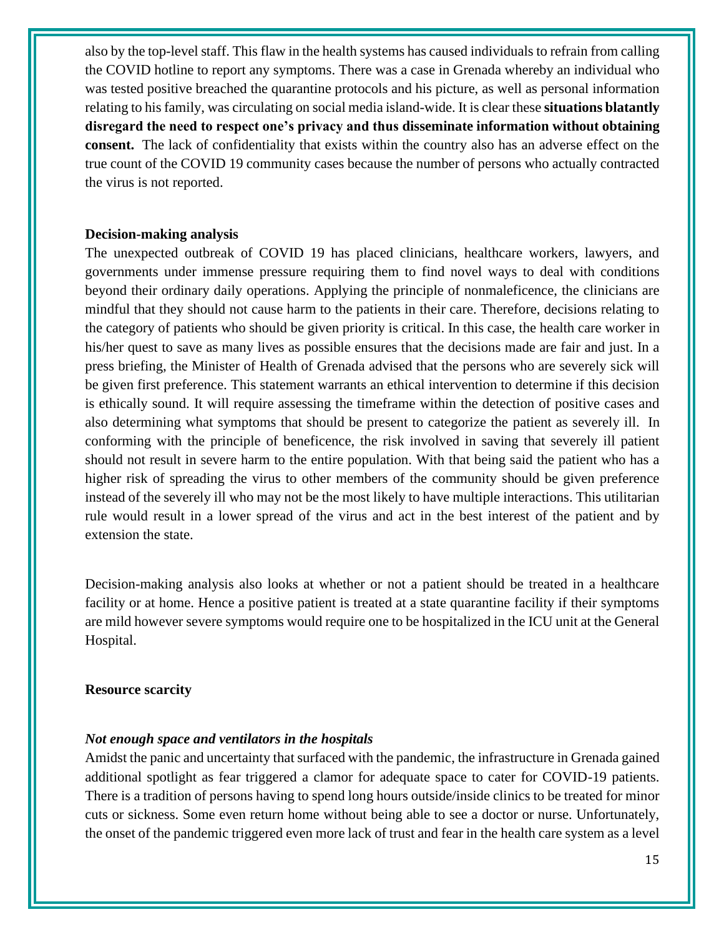also by the top-level staff. This flaw in the health systems has caused individuals to refrain from calling the COVID hotline to report any symptoms. There was a case in Grenada whereby an individual who was tested positive breached the quarantine protocols and his picture, as well as personal information relating to his family, was circulating on social media island-wide. It is clear these **situations blatantly disregard the need to respect one's privacy and thus disseminate information without obtaining consent.** The lack of confidentiality that exists within the country also has an adverse effect on the true count of the COVID 19 community cases because the number of persons who actually contracted the virus is not reported.

#### **Decision-making analysis**

The unexpected outbreak of COVID 19 has placed clinicians, healthcare workers, lawyers, and governments under immense pressure requiring them to find novel ways to deal with conditions beyond their ordinary daily operations. Applying the principle of nonmaleficence, the clinicians are mindful that they should not cause harm to the patients in their care. Therefore, decisions relating to the category of patients who should be given priority is critical. In this case, the health care worker in his/her quest to save as many lives as possible ensures that the decisions made are fair and just. In a press briefing, the Minister of Health of Grenada advised that the persons who are severely sick will be given first preference. This statement warrants an ethical intervention to determine if this decision is ethically sound. It will require assessing the timeframe within the detection of positive cases and also determining what symptoms that should be present to categorize the patient as severely ill. In conforming with the principle of beneficence, the risk involved in saving that severely ill patient should not result in severe harm to the entire population. With that being said the patient who has a higher risk of spreading the virus to other members of the community should be given preference instead of the severely ill who may not be the most likely to have multiple interactions. This utilitarian rule would result in a lower spread of the virus and act in the best interest of the patient and by extension the state.

Decision-making analysis also looks at whether or not a patient should be treated in a healthcare facility or at home. Hence a positive patient is treated at a state quarantine facility if their symptoms are mild however severe symptoms would require one to be hospitalized in the ICU unit at the General Hospital.

#### **Resource scarcity**

#### *Not enough space and ventilators in the hospitals*

Amidst the panic and uncertainty that surfaced with the pandemic, the infrastructure in Grenada gained additional spotlight as fear triggered a clamor for adequate space to cater for COVID-19 patients. There is a tradition of persons having to spend long hours outside/inside clinics to be treated for minor cuts or sickness. Some even return home without being able to see a doctor or nurse. Unfortunately, the onset of the pandemic triggered even more lack of trust and fear in the health care system as a level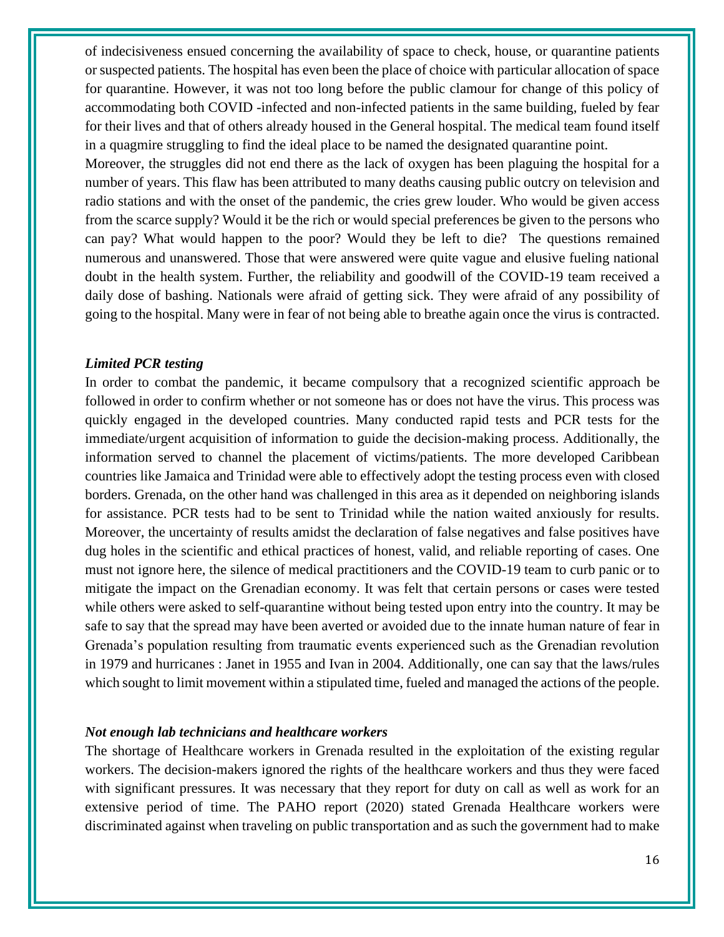of indecisiveness ensued concerning the availability of space to check, house, or quarantine patients or suspected patients. The hospital has even been the place of choice with particular allocation of space for quarantine. However, it was not too long before the public clamour for change of this policy of accommodating both COVID -infected and non-infected patients in the same building, fueled by fear for their lives and that of others already housed in the General hospital. The medical team found itself in a quagmire struggling to find the ideal place to be named the designated quarantine point.

Moreover, the struggles did not end there as the lack of oxygen has been plaguing the hospital for a number of years. This flaw has been attributed to many deaths causing public outcry on television and radio stations and with the onset of the pandemic, the cries grew louder. Who would be given access from the scarce supply? Would it be the rich or would special preferences be given to the persons who can pay? What would happen to the poor? Would they be left to die? The questions remained numerous and unanswered. Those that were answered were quite vague and elusive fueling national doubt in the health system. Further, the reliability and goodwill of the COVID-19 team received a daily dose of bashing. Nationals were afraid of getting sick. They were afraid of any possibility of going to the hospital. Many were in fear of not being able to breathe again once the virus is contracted.

#### *Limited PCR testing*

In order to combat the pandemic, it became compulsory that a recognized scientific approach be followed in order to confirm whether or not someone has or does not have the virus. This process was quickly engaged in the developed countries. Many conducted rapid tests and PCR tests for the immediate/urgent acquisition of information to guide the decision-making process. Additionally, the information served to channel the placement of victims/patients. The more developed Caribbean countries like Jamaica and Trinidad were able to effectively adopt the testing process even with closed borders. Grenada, on the other hand was challenged in this area as it depended on neighboring islands for assistance. PCR tests had to be sent to Trinidad while the nation waited anxiously for results. Moreover, the uncertainty of results amidst the declaration of false negatives and false positives have dug holes in the scientific and ethical practices of honest, valid, and reliable reporting of cases. One must not ignore here, the silence of medical practitioners and the COVID-19 team to curb panic or to mitigate the impact on the Grenadian economy. It was felt that certain persons or cases were tested while others were asked to self-quarantine without being tested upon entry into the country. It may be safe to say that the spread may have been averted or avoided due to the innate human nature of fear in Grenada's population resulting from traumatic events experienced such as the Grenadian revolution in 1979 and hurricanes : Janet in 1955 and Ivan in 2004. Additionally, one can say that the laws/rules which sought to limit movement within a stipulated time, fueled and managed the actions of the people.

#### *Not enough lab technicians and healthcare workers*

The shortage of Healthcare workers in Grenada resulted in the exploitation of the existing regular workers. The decision-makers ignored the rights of the healthcare workers and thus they were faced with significant pressures. It was necessary that they report for duty on call as well as work for an extensive period of time. The PAHO report (2020) stated Grenada Healthcare workers were discriminated against when traveling on public transportation and as such the government had to make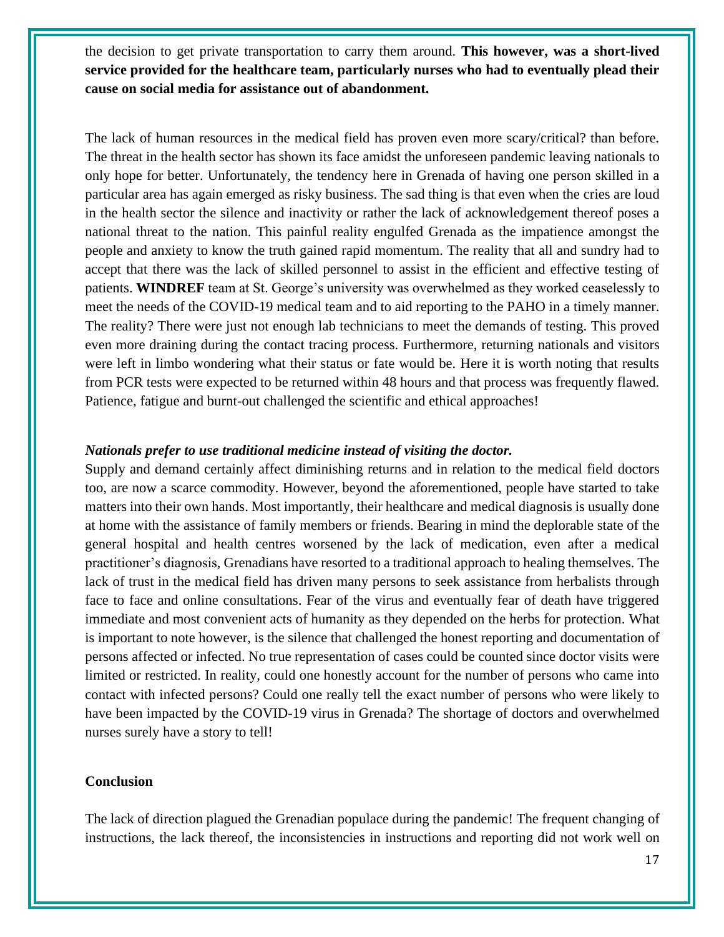the decision to get private transportation to carry them around. **This however, was a short-lived service provided for the healthcare team, particularly nurses who had to eventually plead their cause on social media for assistance out of abandonment.**

The lack of human resources in the medical field has proven even more scary/critical? than before. The threat in the health sector has shown its face amidst the unforeseen pandemic leaving nationals to only hope for better. Unfortunately, the tendency here in Grenada of having one person skilled in a particular area has again emerged as risky business. The sad thing is that even when the cries are loud in the health sector the silence and inactivity or rather the lack of acknowledgement thereof poses a national threat to the nation. This painful reality engulfed Grenada as the impatience amongst the people and anxiety to know the truth gained rapid momentum. The reality that all and sundry had to accept that there was the lack of skilled personnel to assist in the efficient and effective testing of patients. **WINDREF** team at St. George's university was overwhelmed as they worked ceaselessly to meet the needs of the COVID-19 medical team and to aid reporting to the PAHO in a timely manner. The reality? There were just not enough lab technicians to meet the demands of testing. This proved even more draining during the contact tracing process. Furthermore, returning nationals and visitors were left in limbo wondering what their status or fate would be. Here it is worth noting that results from PCR tests were expected to be returned within 48 hours and that process was frequently flawed. Patience, fatigue and burnt-out challenged the scientific and ethical approaches!

#### *Nationals prefer to use traditional medicine instead of visiting the doctor.*

Supply and demand certainly affect diminishing returns and in relation to the medical field doctors too, are now a scarce commodity. However, beyond the aforementioned, people have started to take matters into their own hands. Most importantly, their healthcare and medical diagnosis is usually done at home with the assistance of family members or friends. Bearing in mind the deplorable state of the general hospital and health centres worsened by the lack of medication, even after a medical practitioner's diagnosis, Grenadians have resorted to a traditional approach to healing themselves. The lack of trust in the medical field has driven many persons to seek assistance from herbalists through face to face and online consultations. Fear of the virus and eventually fear of death have triggered immediate and most convenient acts of humanity as they depended on the herbs for protection. What is important to note however, is the silence that challenged the honest reporting and documentation of persons affected or infected. No true representation of cases could be counted since doctor visits were limited or restricted. In reality, could one honestly account for the number of persons who came into contact with infected persons? Could one really tell the exact number of persons who were likely to have been impacted by the COVID-19 virus in Grenada? The shortage of doctors and overwhelmed nurses surely have a story to tell!

#### **Conclusion**

The lack of direction plagued the Grenadian populace during the pandemic! The frequent changing of instructions, the lack thereof, the inconsistencies in instructions and reporting did not work well on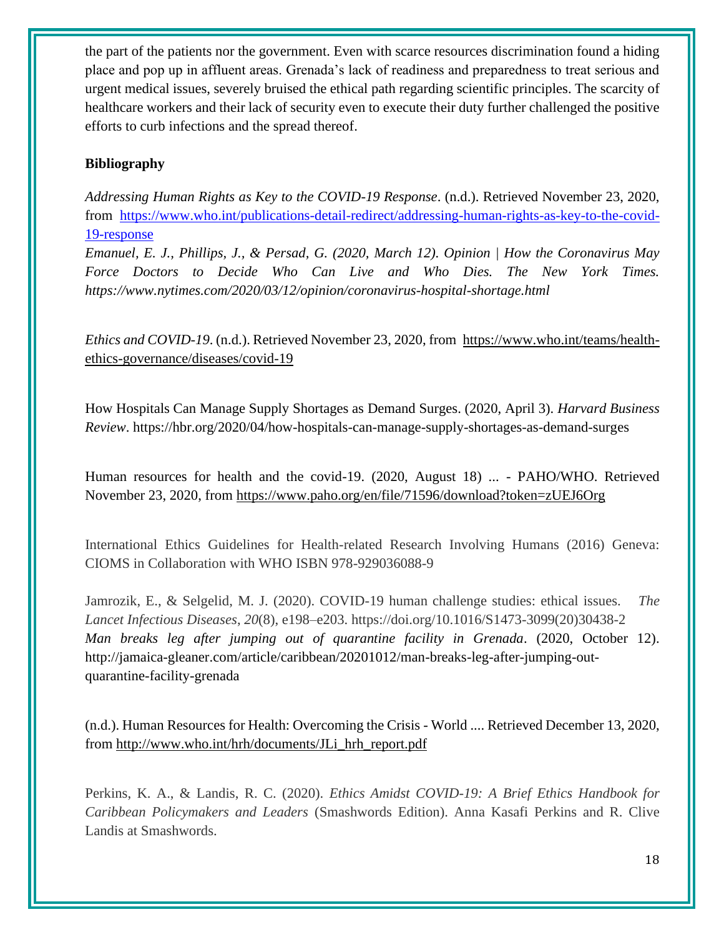the part of the patients nor the government. Even with scarce resources discrimination found a hiding place and pop up in affluent areas. Grenada's lack of readiness and preparedness to treat serious and urgent medical issues, severely bruised the ethical path regarding scientific principles. The scarcity of healthcare workers and their lack of security even to execute their duty further challenged the positive efforts to curb infections and the spread thereof.

#### **Bibliography**

*Addressing Human Rights as Key to the COVID-19 Response*. (n.d.). Retrieved November 23, 2020, from [https://www.who.int/publications-detail-redirect/addressing-human-rights-as-key-to-the-covid-](https://www.who.int/publications-detail-redirect/addressing-human-rights-as-key-to-the-covid-19-response)[19-response](https://www.who.int/publications-detail-redirect/addressing-human-rights-as-key-to-the-covid-19-response)

*Emanuel, E. J., Phillips, J., & Persad, G. (2020, March 12). Opinion | How the Coronavirus May Force Doctors to Decide Who Can Live and Who Dies. The New York Times. https://www.nytimes.com/2020/03/12/opinion/coronavirus-hospital-shortage.html*

*Ethics and COVID-19*. (n.d.). Retrieved November 23, 2020, from [https://www.who.int/teams/health](https://www.who.int/teams/health-ethics-governance/diseases/covid-19)[ethics-governance/diseases/covid-19](https://www.who.int/teams/health-ethics-governance/diseases/covid-19)

How Hospitals Can Manage Supply Shortages as Demand Surges. (2020, April 3). *Harvard Business Review*. https://hbr.org/2020/04/how-hospitals-can-manage-supply-shortages-as-demand-surges

Human resources for health and the covid-19. (2020, August 18) ... - PAHO/WHO. Retrieved November 23, 2020, from<https://www.paho.org/en/file/71596/download?token=zUEJ6Org>

International Ethics Guidelines for Health-related Research Involving Humans (2016) Geneva: CIOMS in Collaboration with WHO ISBN 978-929036088-9

Jamrozik, E., & Selgelid, M. J. (2020). COVID-19 human challenge studies: ethical issues. *The Lancet Infectious Diseases*, *20*(8), e198–e203. https://doi.org/10.1016/S1473-3099(20)30438-2 *Man breaks leg after jumping out of quarantine facility in Grenada*. (2020, October 12). http://jamaica-gleaner.com/article/caribbean/20201012/man-breaks-leg-after-jumping-outquarantine-facility-grenada

(n.d.). Human Resources for Health: Overcoming the Crisis - World .... Retrieved December 13, 2020, from [http://www.who.int/hrh/documents/JLi\\_hrh\\_report.pdf](http://www.who.int/hrh/documents/JLi_hrh_report.pdf)

Perkins, K. A., & Landis, R. C. (2020). *Ethics Amidst COVID-19: A Brief Ethics Handbook for Caribbean Policymakers and Leaders* (Smashwords Edition). Anna Kasafi Perkins and R. Clive Landis at Smashwords.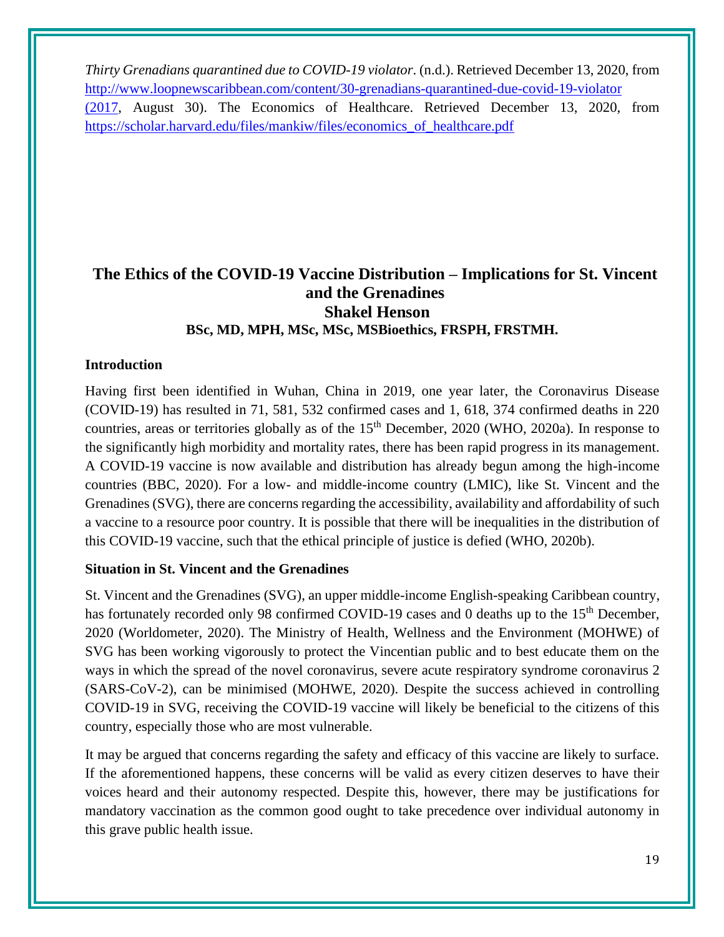*Thirty Grenadians quarantined due to COVID-19 violator*. (n.d.). Retrieved December 13, 2020, from [http://www.loopnewscaribbean.com/content/30-grenadians-quarantined-due-covid-19-violator](http://www.loopnewscaribbean.com/content/30-grenadians-quarantined-due-covid-19-violator%20(2017)  [\(2017,](http://www.loopnewscaribbean.com/content/30-grenadians-quarantined-due-covid-19-violator%20(2017) August 30). The Economics of Healthcare. Retrieved December 13, 2020, from [https://scholar.harvard.edu/files/mankiw/files/economics\\_of\\_healthcare.pdf](https://scholar.harvard.edu/files/mankiw/files/economics_of_healthcare.pdf)

## <span id="page-18-0"></span>**The Ethics of the COVID-19 Vaccine Distribution – Implications for St. Vincent and the Grenadines Shakel Henson BSc, MD, MPH, MSc, MSc, MSBioethics, FRSPH, FRSTMH.**

#### **Introduction**

Having first been identified in Wuhan, China in 2019, one year later, the Coronavirus Disease (COVID-19) has resulted in 71, 581, 532 confirmed cases and 1, 618, 374 confirmed deaths in 220 countries, areas or territories globally as of the  $15<sup>th</sup>$  December, 2020 (WHO, 2020a). In response to the significantly high morbidity and mortality rates, there has been rapid progress in its management. A COVID-19 vaccine is now available and distribution has already begun among the high-income countries (BBC, 2020). For a low- and middle-income country (LMIC), like St. Vincent and the Grenadines (SVG), there are concerns regarding the accessibility, availability and affordability of such a vaccine to a resource poor country. It is possible that there will be inequalities in the distribution of this COVID-19 vaccine, such that the ethical principle of justice is defied (WHO, 2020b).

#### **Situation in St. Vincent and the Grenadines**

St. Vincent and the Grenadines (SVG), an upper middle-income English-speaking Caribbean country, has fortunately recorded only 98 confirmed COVID-19 cases and 0 deaths up to the 15<sup>th</sup> December, 2020 (Worldometer, 2020). The Ministry of Health, Wellness and the Environment (MOHWE) of SVG has been working vigorously to protect the Vincentian public and to best educate them on the ways in which the spread of the novel coronavirus, severe acute respiratory syndrome coronavirus 2 (SARS-CoV-2), can be minimised (MOHWE, 2020). Despite the success achieved in controlling COVID-19 in SVG, receiving the COVID-19 vaccine will likely be beneficial to the citizens of this country, especially those who are most vulnerable.

It may be argued that concerns regarding the safety and efficacy of this vaccine are likely to surface. If the aforementioned happens, these concerns will be valid as every citizen deserves to have their voices heard and their autonomy respected. Despite this, however, there may be justifications for mandatory vaccination as the common good ought to take precedence over individual autonomy in this grave public health issue.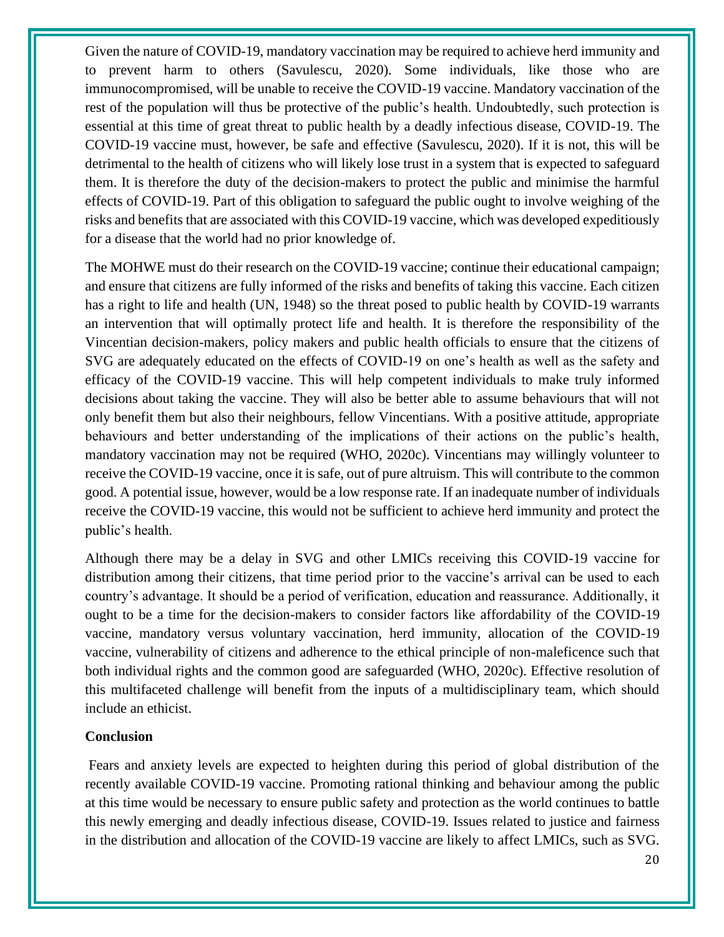Given the nature of COVID-19, mandatory vaccination may be required to achieve herd immunity and to prevent harm to others (Savulescu, 2020). Some individuals, like those who are immunocompromised, will be unable to receive the COVID-19 vaccine. Mandatory vaccination of the rest of the population will thus be protective of the public's health. Undoubtedly, such protection is essential at this time of great threat to public health by a deadly infectious disease, COVID-19. The COVID-19 vaccine must, however, be safe and effective (Savulescu, 2020). If it is not, this will be detrimental to the health of citizens who will likely lose trust in a system that is expected to safeguard them. It is therefore the duty of the decision-makers to protect the public and minimise the harmful effects of COVID-19. Part of this obligation to safeguard the public ought to involve weighing of the risks and benefits that are associated with this COVID-19 vaccine, which was developed expeditiously for a disease that the world had no prior knowledge of.

The MOHWE must do their research on the COVID-19 vaccine; continue their educational campaign; and ensure that citizens are fully informed of the risks and benefits of taking this vaccine. Each citizen has a right to life and health (UN, 1948) so the threat posed to public health by COVID-19 warrants an intervention that will optimally protect life and health. It is therefore the responsibility of the Vincentian decision-makers, policy makers and public health officials to ensure that the citizens of SVG are adequately educated on the effects of COVID-19 on one's health as well as the safety and efficacy of the COVID-19 vaccine. This will help competent individuals to make truly informed decisions about taking the vaccine. They will also be better able to assume behaviours that will not only benefit them but also their neighbours, fellow Vincentians. With a positive attitude, appropriate behaviours and better understanding of the implications of their actions on the public's health, mandatory vaccination may not be required (WHO, 2020c). Vincentians may willingly volunteer to receive the COVID-19 vaccine, once it is safe, out of pure altruism. This will contribute to the common good. A potential issue, however, would be a low response rate. If an inadequate number of individuals receive the COVID-19 vaccine, this would not be sufficient to achieve herd immunity and protect the public's health.

Although there may be a delay in SVG and other LMICs receiving this COVID-19 vaccine for distribution among their citizens, that time period prior to the vaccine's arrival can be used to each country's advantage. It should be a period of verification, education and reassurance. Additionally, it ought to be a time for the decision-makers to consider factors like affordability of the COVID-19 vaccine, mandatory versus voluntary vaccination, herd immunity, allocation of the COVID-19 vaccine, vulnerability of citizens and adherence to the ethical principle of non-maleficence such that both individual rights and the common good are safeguarded (WHO, 2020c). Effective resolution of this multifaceted challenge will benefit from the inputs of a multidisciplinary team, which should include an ethicist.

#### **Conclusion**

Fears and anxiety levels are expected to heighten during this period of global distribution of the recently available COVID-19 vaccine. Promoting rational thinking and behaviour among the public at this time would be necessary to ensure public safety and protection as the world continues to battle this newly emerging and deadly infectious disease, COVID-19. Issues related to justice and fairness in the distribution and allocation of the COVID-19 vaccine are likely to affect LMICs, such as SVG.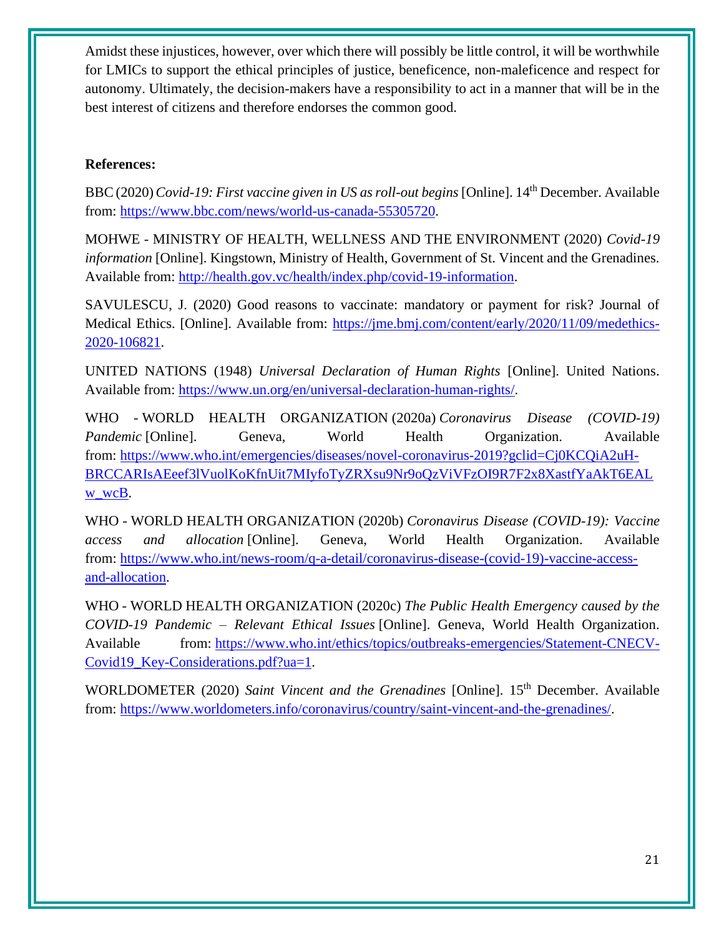Amidst these injustices, however, over which there will possibly be little control, it will be worthwhile for LMICs to support the ethical principles of justice, beneficence, non-maleficence and respect for autonomy. Ultimately, the decision-makers have a responsibility to act in a manner that will be in the best interest of citizens and therefore endorses the common good.

#### **References:**

BBC(2020)*Covid-19: First vaccine given in US as roll-out begins* [Online]. 14th December. Available from: [https://www.bbc.com/news/world-us-canada-55305720.](https://www.bbc.com/news/world-us-canada-55305720)

MOHWE - MINISTRY OF HEALTH, WELLNESS AND THE ENVIRONMENT (2020) *Covid-19 information* [Online]. Kingstown, Ministry of Health, Government of St. Vincent and the Grenadines. Available from: [http://health.gov.vc/health/index.php/covid-19-information.](http://health.gov.vc/health/index.php/covid-19-information)

SAVULESCU, J. (2020) Good reasons to vaccinate: mandatory or payment for risk? Journal of Medical Ethics. [Online]. Available from: [https://jme.bmj.com/content/early/2020/11/09/medethics-](https://jme.bmj.com/content/early/2020/11/09/medethics-2020-106821)[2020-106821.](https://jme.bmj.com/content/early/2020/11/09/medethics-2020-106821)

UNITED NATIONS (1948) *Universal Declaration of Human Rights* [Online]. United Nations. Available from: [https://www.un.org/en/universal-declaration-human-rights/.](https://www.un.org/en/universal-declaration-human-rights/)

WHO - WORLD HEALTH ORGANIZATION (2020a) *Coronavirus Disease (COVID-19) Pandemic* [Online]. Geneva, World Health Organization. Available from: [https://www.who.int/emergencies/diseases/novel-coronavirus-2019?gclid=Cj0KCQiA2uH-](https://www.who.int/emergencies/diseases/novel-coronavirus-2019?gclid=Cj0KCQiA2uH-BRCCARIsAEeef3lVuolKoKfnUit7MIyfoTyZRXsu9Nr9oQzViVFzOI9R7F2x8XastfYaAkT6EALw_wcB)[BRCCARIsAEeef3lVuolKoKfnUit7MIyfoTyZRXsu9Nr9oQzViVFzOI9R7F2x8XastfYaAkT6EAL](https://www.who.int/emergencies/diseases/novel-coronavirus-2019?gclid=Cj0KCQiA2uH-BRCCARIsAEeef3lVuolKoKfnUit7MIyfoTyZRXsu9Nr9oQzViVFzOI9R7F2x8XastfYaAkT6EALw_wcB) [w\\_wcB.](https://www.who.int/emergencies/diseases/novel-coronavirus-2019?gclid=Cj0KCQiA2uH-BRCCARIsAEeef3lVuolKoKfnUit7MIyfoTyZRXsu9Nr9oQzViVFzOI9R7F2x8XastfYaAkT6EALw_wcB)

WHO - WORLD HEALTH ORGANIZATION (2020b) *Coronavirus Disease (COVID-19): Vaccine access and allocation* [Online]. Geneva, World Health Organization. Available from: [https://www.who.int/news-room/q-a-detail/coronavirus-disease-\(covid-19\)-vaccine-access](https://www.who.int/news-room/q-a-detail/coronavirus-disease-(covid-19)-vaccine-access-and-allocation)[and-allocation.](https://www.who.int/news-room/q-a-detail/coronavirus-disease-(covid-19)-vaccine-access-and-allocation)

WHO - WORLD HEALTH ORGANIZATION (2020c) *The Public Health Emergency caused by the COVID-19 Pandemic – Relevant Ethical Issues* [Online]. Geneva, World Health Organization. Available from: [https://www.who.int/ethics/topics/outbreaks-emergencies/Statement-CNECV-](https://www.who.int/ethics/topics/outbreaks-emergencies/Statement-CNECV-Covid19_Key-Considerations.pdf?ua=1)[Covid19\\_Key-Considerations.pdf?ua=1.](https://www.who.int/ethics/topics/outbreaks-emergencies/Statement-CNECV-Covid19_Key-Considerations.pdf?ua=1)

WORLDOMETER (2020) *Saint Vincent and the Grenadines* [Online]. 15th December. Available from: [https://www.worldometers.info/coronavirus/country/saint-vincent-and-the-grenadines/.](https://www.worldometers.info/coronavirus/country/saint-vincent-and-the-grenadines/)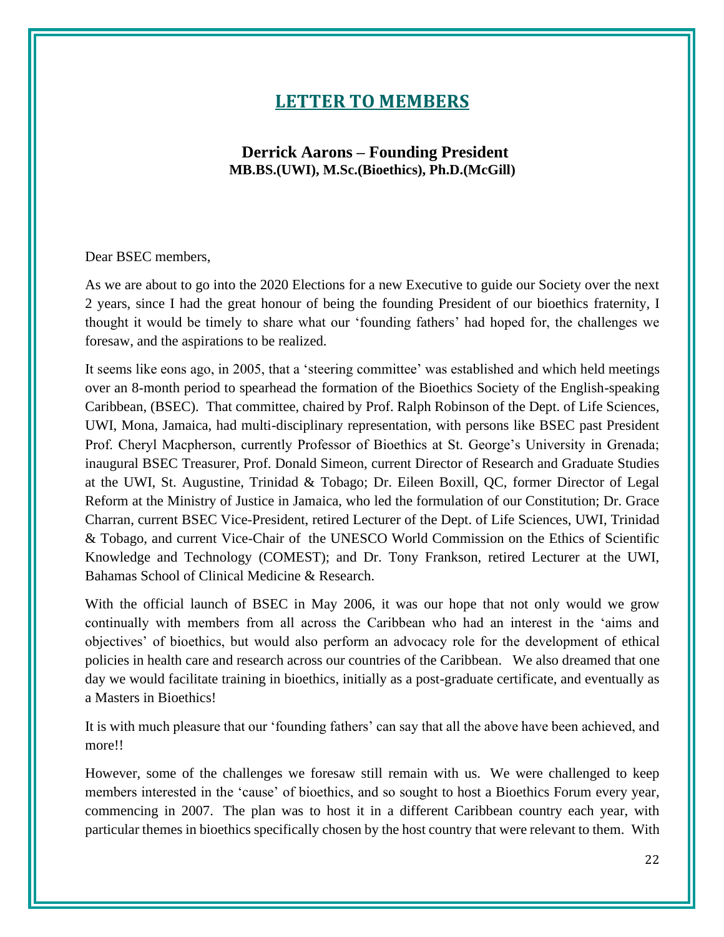## **LETTER TO MEMBERS**

#### <span id="page-21-0"></span>**Derrick Aarons – Founding President MB.BS.(UWI), M.Sc.(Bioethics), Ph.D.(McGill)**

#### <span id="page-21-1"></span>Dear BSEC members,

As we are about to go into the 2020 Elections for a new Executive to guide our Society over the next 2 years, since I had the great honour of being the founding President of our bioethics fraternity, I thought it would be timely to share what our 'founding fathers' had hoped for, the challenges we foresaw, and the aspirations to be realized.

It seems like eons ago, in 2005, that a 'steering committee' was established and which held meetings over an 8-month period to spearhead the formation of the Bioethics Society of the English-speaking Caribbean, (BSEC). That committee, chaired by Prof. Ralph Robinson of the Dept. of Life Sciences, UWI, Mona, Jamaica, had multi-disciplinary representation, with persons like BSEC past President Prof. Cheryl Macpherson, currently Professor of Bioethics at St. George's University in Grenada; inaugural BSEC Treasurer, Prof. Donald Simeon, current Director of Research and Graduate Studies at the UWI, St. Augustine, Trinidad & Tobago; Dr. Eileen Boxill, QC, former Director of Legal Reform at the Ministry of Justice in Jamaica, who led the formulation of our Constitution; Dr. Grace Charran, current BSEC Vice-President, retired Lecturer of the Dept. of Life Sciences, UWI, Trinidad & Tobago, and current Vice-Chair of the UNESCO World Commission on the Ethics of Scientific Knowledge and Technology (COMEST); and Dr. Tony Frankson, retired Lecturer at the UWI, Bahamas School of Clinical Medicine & Research.

With the official launch of BSEC in May 2006, it was our hope that not only would we grow continually with members from all across the Caribbean who had an interest in the 'aims and objectives' of bioethics, but would also perform an advocacy role for the development of ethical policies in health care and research across our countries of the Caribbean. We also dreamed that one day we would facilitate training in bioethics, initially as a post-graduate certificate, and eventually as a Masters in Bioethics!

It is with much pleasure that our 'founding fathers' can say that all the above have been achieved, and more!!

However, some of the challenges we foresaw still remain with us. We were challenged to keep members interested in the 'cause' of bioethics, and so sought to host a Bioethics Forum every year, commencing in 2007. The plan was to host it in a different Caribbean country each year, with particular themes in bioethics specifically chosen by the host country that were relevant to them. With